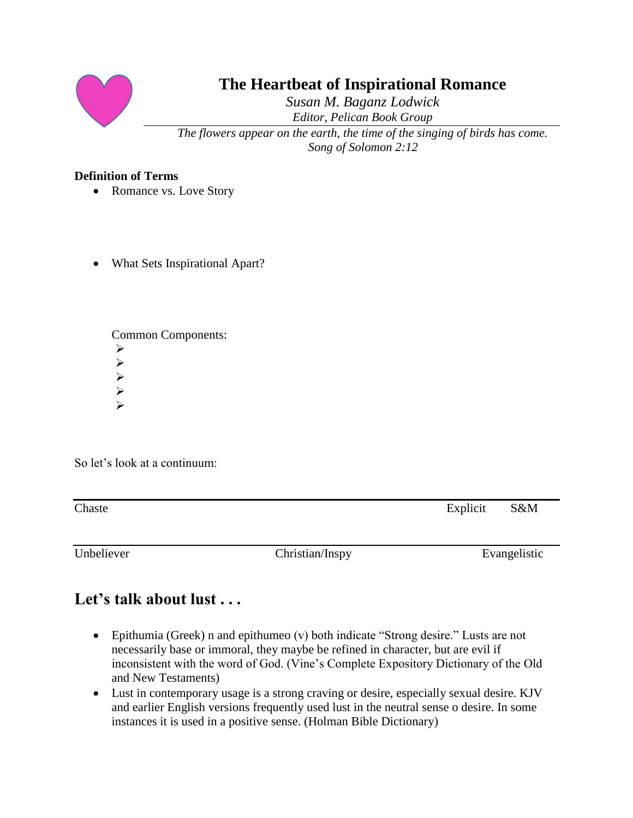

# **The Heartbeat of Inspirational Romance**

*Susan M. Baganz Lodwick Editor, Pelican Book Group*

*The flowers appear on the earth, the time of the singing of birds has come. Song of Solomon 2:12*

## **Definition of Terms**

- Romance vs. Love Story
- What Sets Inspirational Apart?

Common Components: ➢ ➢ ➢ ➢ ➢

So let's look at a continuum:

| Chaste | Explicit S&M |  |
|--------|--------------|--|
|        |              |  |

Unbeliever Christian/Inspy Evangelistic

# **Let's talk about lust . . .**

- Epithumia (Greek) n and epithumeo (v) both indicate "Strong desire." Lusts are not necessarily base or immoral, they maybe be refined in character, but are evil if inconsistent with the word of God. (Vine's Complete Expository Dictionary of the Old and New Testaments)
- Lust in contemporary usage is a strong craving or desire, especially sexual desire. KJV and earlier English versions frequently used lust in the neutral sense o desire. In some instances it is used in a positive sense. (Holman Bible Dictionary)